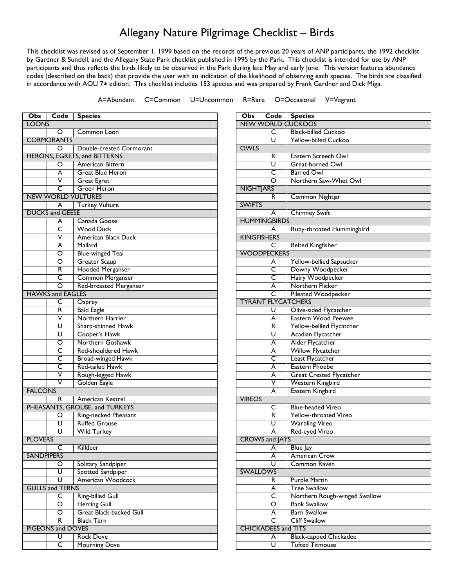## Allegany Nature Pilgrimage Checklist – Birds

This checklist was revised as of September 1, 1999 based on the records of the previous 20 years of ANP participants, the 1992 checklist by Gardner & Sundell, and the Allegany State Park checklist published in 1995 by the Park. This checklist is intended for use by ANP participants and thus reflects the birds likely to be observed in the Park during late May and early June. This version features abundance codes (described on the back) that provide the user with an indication of the likelihood of observing each species. The birds are classified in accordance with AOU 7<sup>th</sup> edition. This checklist includes 153 species and was prepared by Frank Gardner and Dick Miga.

A=Abundant C=Common U=Uncommon R=Rare O=Occasional V=Vagrant

| Obs                    | Code                          | <b>Species</b>                      |  |  |  |
|------------------------|-------------------------------|-------------------------------------|--|--|--|
| <b>LOONS</b>           |                               |                                     |  |  |  |
|                        | Ő                             | Common Loon                         |  |  |  |
|                        | <b>CORMORANTS</b>             |                                     |  |  |  |
|                        | O<br>Double-crested Cormorant |                                     |  |  |  |
|                        |                               | <b>HERONS, EGRETS, and BITTERNS</b> |  |  |  |
|                        | O                             | American Bittern                    |  |  |  |
|                        | A                             | <b>Great Blue Heron</b>             |  |  |  |
|                        | ⊽                             | <b>Great Egret</b>                  |  |  |  |
|                        | C                             | <b>Green Heron</b>                  |  |  |  |
|                        |                               | <b>NEW WORLD VULTURES</b>           |  |  |  |
|                        | A                             | <b>Turkey Vulture</b>               |  |  |  |
|                        | <b>DUCKS and GEESE</b>        |                                     |  |  |  |
|                        | A                             | Canada Goose                        |  |  |  |
|                        | C                             | <b>Wood Duck</b>                    |  |  |  |
|                        | ٧                             | <b>American Black Duck</b>          |  |  |  |
|                        | A                             | Mallard                             |  |  |  |
|                        | $\overline{\circ}$            | <b>Blue-winged Teal</b>             |  |  |  |
|                        | O                             | <b>Greater Scaup</b>                |  |  |  |
|                        | R                             | <b>Hooded Merganser</b>             |  |  |  |
|                        | C                             | Common Merganser                    |  |  |  |
|                        | O                             | Red-breasted Merganser              |  |  |  |
|                        | <b>HAWKS and EAGLES</b>       |                                     |  |  |  |
|                        | C                             | Osprey                              |  |  |  |
|                        | R                             | <b>Bald Eagle</b>                   |  |  |  |
|                        | ۷                             | Northern Harrier                    |  |  |  |
|                        | U                             | Sharp-shinned Hawk                  |  |  |  |
|                        | U                             | Cooper's Hawk                       |  |  |  |
|                        | O                             | Northern Goshawk                    |  |  |  |
|                        | C                             | Red-shouldered Hawk                 |  |  |  |
|                        | c                             | <b>Broad-winged Hawk</b>            |  |  |  |
|                        | C                             | <b>Red-tailed Hawk</b>              |  |  |  |
|                        | V                             | Rough-legged Hawk                   |  |  |  |
|                        | V                             | Golden Eagle                        |  |  |  |
| <b>FALCONS</b>         |                               |                                     |  |  |  |
|                        | R                             | <b>American Kestrel</b>             |  |  |  |
|                        |                               | PHEASANTS, GROUSE, and TURKEYS      |  |  |  |
|                        | O                             | Ring-necked Pheasant                |  |  |  |
|                        | U                             | <b>Ruffed Grouse</b>                |  |  |  |
|                        | U                             | <b>Wild Turkey</b>                  |  |  |  |
| <b>PLOVERS</b>         |                               |                                     |  |  |  |
|                        | C                             | Killdeer                            |  |  |  |
| <b>SANDPIPERS</b>      |                               |                                     |  |  |  |
|                        | O                             | Solitary Sandpiper                  |  |  |  |
|                        | U                             | <b>Spotted Sandpiper</b>            |  |  |  |
|                        | U                             | American Woodcock                   |  |  |  |
| <b>GULLS and TERNS</b> |                               |                                     |  |  |  |
|                        | С                             | <b>Ring-billed Gull</b>             |  |  |  |
|                        | ō                             | <b>Herring Gull</b>                 |  |  |  |
|                        | O                             | <b>Great Black-backed Gull</b>      |  |  |  |
|                        | R                             | <b>Black Tern</b>                   |  |  |  |
| PIGEONS and DOVES      |                               |                                     |  |  |  |
|                        | U                             | <b>Rock Dove</b>                    |  |  |  |
|                        | $\overline{\mathsf{C}}$       | Mourning Dove                       |  |  |  |

| Obs                        | Code                      | <b>Species</b>                  |  |  |
|----------------------------|---------------------------|---------------------------------|--|--|
|                            |                           | <b>NEW WORLD CUCKOOS</b>        |  |  |
|                            | C                         | <b>Black-billed Cuckoo</b>      |  |  |
|                            | U                         | <b>Yellow-billed Cuckoo</b>     |  |  |
| <b>OWLS</b>                |                           |                                 |  |  |
|                            | R                         | Eastern Screech Owl             |  |  |
|                            | Ū                         | Great-horned Owl                |  |  |
|                            | C                         | <b>Barred Owl</b>               |  |  |
|                            | O                         | Northern Saw-Whet Owl           |  |  |
| <b>NIGHTJARS</b>           |                           |                                 |  |  |
|                            | R                         | Common Nightjar                 |  |  |
| <b>SWIFTS</b>              |                           |                                 |  |  |
|                            | A                         | <b>Chimney Swift</b>            |  |  |
|                            | <b>HUMMINGBIRDS</b>       |                                 |  |  |
|                            | A                         | Ruby-throated Hummingbird       |  |  |
| <b>KINGFISHERS</b>         |                           |                                 |  |  |
|                            | C                         | <b>Belted Kingfisher</b>        |  |  |
|                            | <b>WOODPECKERS</b>        |                                 |  |  |
|                            | A                         | Yellow-bellied Sapsucker        |  |  |
|                            | C                         | Downy Woodpecker                |  |  |
|                            | C                         | Hairy Woodpecker                |  |  |
|                            | A                         | Northern Flicker                |  |  |
|                            | $\overline{\mathsf{C}}$   | Pileated Woodpecker             |  |  |
|                            | <b>TYRANT FLYCATCHERS</b> |                                 |  |  |
|                            | U                         | Olive-sided Flycatcher          |  |  |
|                            | A                         | Eastern Wood Peewee             |  |  |
|                            | R                         | Yellow-bellied Flycatcher       |  |  |
|                            | Ū                         | Acadian Flycatcher              |  |  |
|                            | A                         | Alder Flycatcher                |  |  |
|                            | A                         | <b>Willow Flycatcher</b>        |  |  |
|                            | C                         | <b>Least Flycatcher</b>         |  |  |
|                            | A                         | Eastern Phoebe                  |  |  |
|                            | Ā                         | <b>Great Crested Flycatcher</b> |  |  |
|                            | ٧                         | Western Kingbird                |  |  |
|                            | A                         | Eastern Kingbird                |  |  |
| <b>VIREOS</b>              |                           |                                 |  |  |
|                            | C                         | <b>Blue-headed Vireo</b>        |  |  |
|                            | R                         | Yellow-throated Vireo           |  |  |
|                            | U                         | <b>Warbling Vireo</b>           |  |  |
|                            | Ā                         | Red-eyed Vireo                  |  |  |
|                            | <b>CROWS and JAYS</b>     |                                 |  |  |
|                            | A                         | <b>Blue Jay</b>                 |  |  |
|                            | A                         | American Crow                   |  |  |
|                            | Ū                         | <b>Common Raven</b>             |  |  |
| <b>SWALLOWS</b>            |                           |                                 |  |  |
|                            | R                         | <b>Purple Martin</b>            |  |  |
|                            | A                         | <b>Tree Swallow</b>             |  |  |
|                            | С                         | Northern Rough-winged Swallow   |  |  |
|                            | O                         | <b>Bank Swallow</b>             |  |  |
|                            | A                         | <b>Barn Swallow</b>             |  |  |
|                            | C                         | <b>Cliff Swallow</b>            |  |  |
| <b>CHICKADEES and TITS</b> |                           |                                 |  |  |
|                            | A                         | <b>Black-capped Chickadee</b>   |  |  |
|                            | U                         | <b>Tufted Titmouse</b>          |  |  |